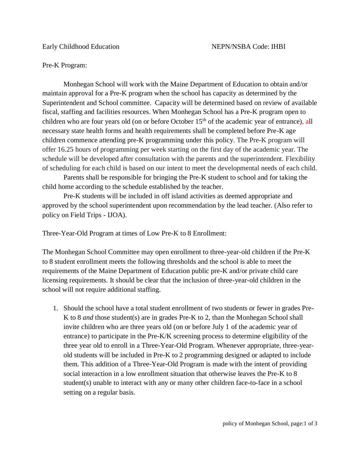Pre-K Program:

Monhegan School will work with the Maine Department of Education to obtain and/or maintain approval for a Pre-K program when the school has capacity as determined by the Superintendent and School committee. Capacity will be determined based on review of available fiscal, staffing and facilities resources. When Monhegan School has a Pre-K program open to children who are four years old (on or before October  $15<sup>th</sup>$  of the academic year of entrance), all necessary state health forms and health requirements shall be completed before Pre-K age children commence attending pre-K programming under this policy. The Pre-K program will offer 16.25 hours of programming per week starting on the first day of the academic year. The schedule will be developed after consultation with the parents and the superintendent. Flexibility of scheduling for each child is based on our intent to meet the developmental needs of each child.

Parents shall be responsible for bringing the Pre-K student to school and for taking the child home according to the schedule established by the teacher.

Pre-K students will be included in off island activities as deemed appropriate and approved by the school superintendent upon recommendation by the lead teacher. (Also refer to policy on Field Trips - IJOA).

Three-Year-Old Program at times of Low Pre-K to 8 Enrollment:

The Monhegan School Committee may open enrollment to three-year-old children if the Pre-K to 8 student enrollment meets the following thresholds and the school is able to meet the requirements of the Maine Department of Education public pre-K and/or private child care licensing requirements. It should be clear that the inclusion of three-year-old children in the school will not require additional staffing.

1. Should the school have a total student enrollment of two students or fewer in grades Pre-K to 8 *and* those student(s) are in grades Pre-K to 2, than the Monhegan School shall invite children who are three years old (on or before July 1 of the academic year of entrance) to participate in the Pre-K/K screening process to determine eligibility of the three year old to enroll in a Three-Year-Old Program. Whenever appropriate, three-yearold students will be included in Pre-K to 2 programming designed or adapted to include them. This addition of a Three-Year-Old Program is made with the intent of providing social interaction in a low enrollment situation that otherwise leaves the Pre-K to 8 student(s) unable to interact with any or many other children face-to-face in a school setting on a regular basis.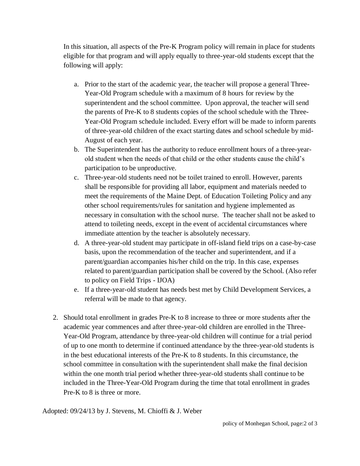In this situation, all aspects of the Pre-K Program policy will remain in place for students eligible for that program and will apply equally to three-year-old students except that the following will apply:

- a. Prior to the start of the academic year, the teacher will propose a general Three-Year-Old Program schedule with a maximum of 8 hours for review by the superintendent and the school committee. Upon approval, the teacher will send the parents of Pre-K to 8 students copies of the school schedule with the Three-Year-Old Program schedule included. Every effort will be made to inform parents of three-year-old children of the exact starting dates and school schedule by mid-August of each year.
- b. The Superintendent has the authority to reduce enrollment hours of a three-yearold student when the needs of that child or the other students cause the child's participation to be unproductive.
- c. Three-year-old students need not be toilet trained to enroll. However, parents shall be responsible for providing all labor, equipment and materials needed to meet the requirements of the Maine Dept. of Education Toileting Policy and any other school requirements/rules for sanitation and hygiene implemented as necessary in consultation with the school nurse. The teacher shall not be asked to attend to toileting needs, except in the event of accidental circumstances where immediate attention by the teacher is absolutely necessary.
- d. A three-year-old student may participate in off-island field trips on a case-by-case basis, upon the recommendation of the teacher and superintendent, and if a parent/guardian accompanies his/her child on the trip. In this case, expenses related to parent/guardian participation shall be covered by the School. (Also refer to policy on Field Trips - IJOA)
- e. If a three-year-old student has needs best met by Child Development Services, a referral will be made to that agency.
- 2. Should total enrollment in grades Pre-K to 8 increase to three or more students after the academic year commences and after three-year-old children are enrolled in the Three-Year-Old Program, attendance by three-year-old children will continue for a trial period of up to one month to determine if continued attendance by the three-year-old students is in the best educational interests of the Pre-K to 8 students. In this circumstance, the school committee in consultation with the superintendent shall make the final decision within the one month trial period whether three-year-old students shall continue to be included in the Three-Year-Old Program during the time that total enrollment in grades Pre-K to 8 is three or more.

Adopted: 09/24/13 by J. Stevens, M. Chioffi & J. Weber